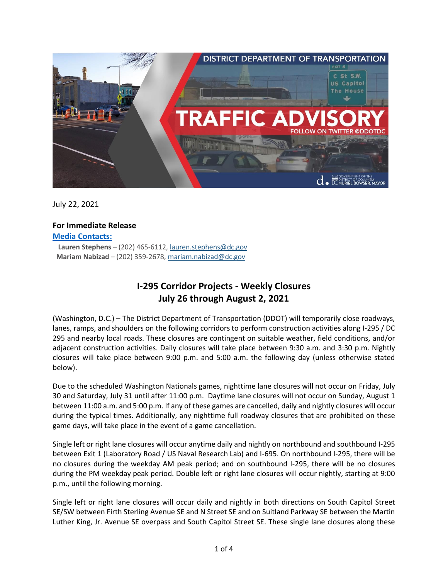

July 22, 2021

# **For Immediate Release**

**Media Contacts:**

**Lauren Stephens** – (202) 465-6112, [lauren.stephens@dc.gov](mailto:lauren.stephens@dc.gov) **Mariam Nabizad** – (202) 359-2678, [mariam.nabizad@dc.gov](mailto:mariam.nabizad@dc.gov)

## **I-295 Corridor Projects - Weekly Closures July 26 through August 2, 2021**

(Washington, D.C.) – The District Department of Transportation (DDOT) will temporarily close roadways, lanes, ramps, and shoulders on the following corridors to perform construction activities along I-295 / DC 295 and nearby local roads. These closures are contingent on suitable weather, field conditions, and/or adjacent construction activities. Daily closures will take place between 9:30 a.m. and 3:30 p.m. Nightly closures will take place between 9:00 p.m. and 5:00 a.m. the following day (unless otherwise stated below).

Due to the scheduled Washington Nationals games, nighttime lane closures will not occur on Friday, July 30 and Saturday, July 31 until after 11:00 p.m. Daytime lane closures will not occur on Sunday, August 1 between 11:00 a.m. and 5:00 p.m. If any of these games are cancelled, daily and nightly closures will occur during the typical times. Additionally, any nighttime full roadway closures that are prohibited on these game days, will take place in the event of a game cancellation.

Single left or right lane closures will occur anytime daily and nightly on northbound and southbound I-295 between Exit 1 (Laboratory Road / US Naval Research Lab) and I-695. On northbound I-295, there will be no closures during the weekday AM peak period; and on southbound I-295, there will be no closures during the PM weekday peak period. Double left or right lane closures will occur nightly, starting at 9:00 p.m., until the following morning.

Single left or right lane closures will occur daily and nightly in both directions on South Capitol Street SE/SW between Firth Sterling Avenue SE and N Street SE and on Suitland Parkway SE between the Martin Luther King, Jr. Avenue SE overpass and South Capitol Street SE. These single lane closures along these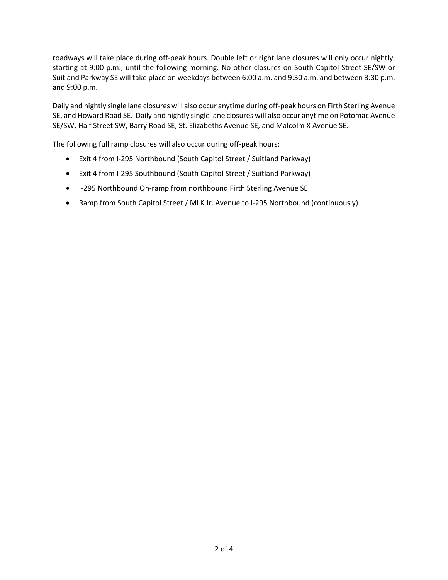roadways will take place during off-peak hours. Double left or right lane closures will only occur nightly, starting at 9:00 p.m., until the following morning. No other closures on South Capitol Street SE/SW or Suitland Parkway SE will take place on weekdays between 6:00 a.m. and 9:30 a.m. and between 3:30 p.m. and 9:00 p.m.

Daily and nightly single lane closures will also occur anytime during off-peak hours on Firth Sterling Avenue SE, and Howard Road SE. Daily and nightly single lane closures will also occur anytime on Potomac Avenue SE/SW, Half Street SW, Barry Road SE, St. Elizabeths Avenue SE, and Malcolm X Avenue SE.

The following full ramp closures will also occur during off-peak hours:

- Exit 4 from I-295 Northbound (South Capitol Street / Suitland Parkway)
- Exit 4 from I-295 Southbound (South Capitol Street / Suitland Parkway)
- I-295 Northbound On-ramp from northbound Firth Sterling Avenue SE
- Ramp from South Capitol Street / MLK Jr. Avenue to I-295 Northbound (continuously)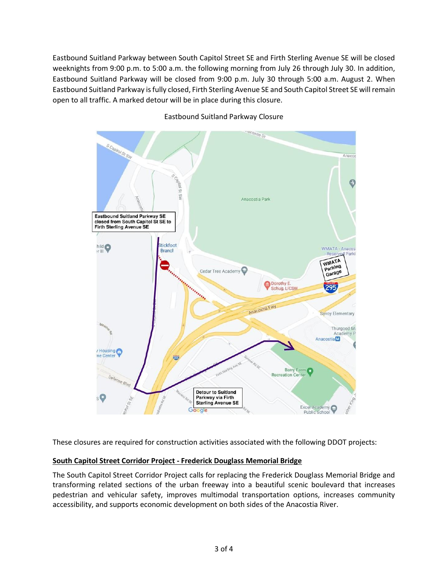Eastbound Suitland Parkway between South Capitol Street SE and Firth Sterling Avenue SE will be closed weeknights from 9:00 p.m. to 5:00 a.m. the following morning from July 26 through July 30. In addition, Eastbound Suitland Parkway will be closed from 9:00 p.m. July 30 through 5:00 a.m. August 2. When Eastbound Suitland Parkway is fully closed, Firth Sterling Avenue SE and South Capitol Street SE will remain open to all traffic. A marked detour will be in place during this closure.



### Eastbound Suitland Parkway Closure

These closures are required for construction activities associated with the following DDOT projects:

#### **South Capitol Street Corridor Project - Frederick Douglass Memorial Bridge**

The South Capitol Street Corridor Project calls for replacing the Frederick Douglass Memorial Bridge and transforming related sections of the urban freeway into a beautiful scenic boulevard that increases pedestrian and vehicular safety, improves multimodal transportation options, increases community accessibility, and supports economic development on both sides of the Anacostia River.